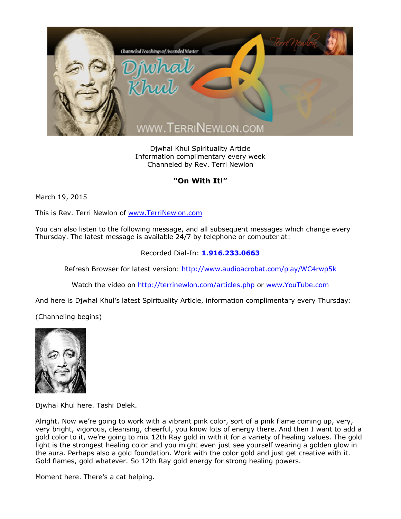

Djwhal Khul Spirituality Article Information complimentary every week Channeled by Rev. Terri Newlon

## **"On With It!"**

March 19, 2015

This is Rev. Terri Newlon of [www.TerriNewlon.com](http://www.terrinewlon.com/)

You can also listen to the following message, and all subsequent messages which change every Thursday. The latest message is available 24/7 by telephone or computer at:

## Recorded Dial-In: **1.916.233.0663**

Refresh Browser for latest version: <http://www.audioacrobat.com/play/WC4rwp5k>

Watch the video on <http://terrinewlon.com/articles.php> or [www.YouTube.com](http://www.youtube.com/)

And here is Djwhal Khul's latest Spirituality Article, information complimentary every Thursday:

(Channeling begins)



Djwhal Khul here. Tashi Delek.

Alright. Now we're going to work with a vibrant pink color, sort of a pink flame coming up, very, very bright, vigorous, cleansing, cheerful, you know lots of energy there. And then I want to add a gold color to it, we're going to mix 12th Ray gold in with it for a variety of healing values. The gold light is the strongest healing color and you might even just see yourself wearing a golden glow in the aura. Perhaps also a gold foundation. Work with the color gold and just get creative with it. Gold flames, gold whatever. So 12th Ray gold energy for strong healing powers.

Moment here. There's a cat helping.